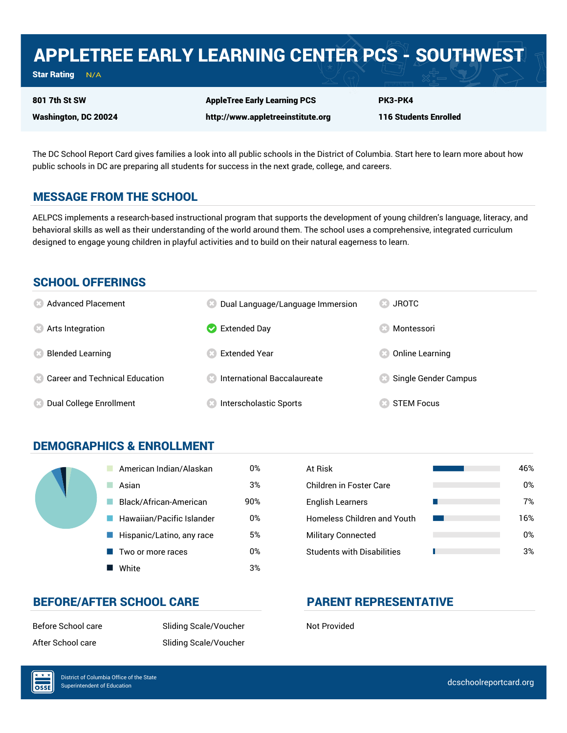## APPLETREE EARLY LEARNING CENTER PCS - SOUTHWEST

Star Rating  $N/A$ 

Washington, DC 20024

801 7th St SW

AppleTree Early Learning PCS http://www.appletreeinstitute.org

116 Students Enrolled

PK3-PK4

The DC School Report Card gives families a look into all public schools in the District of Columbia. Start here to learn more about how public schools in DC are preparing all students for success in the next grade, college, and careers.

### MESSAGE FROM THE SCHOOL

AELPCS implements a research-based instructional program that supports the development of young children's language, literacy, and behavioral skills as well as their understanding of the world around them. The school uses a comprehensive, integrated curriculum designed to engage young children in playful activities and to build on their natural eagerness to learn.

### SCHOOL OFFERINGS

| <b>8</b> Advanced Placement       | Dual Language/Language Immersion     | <b>JROTC</b>         |
|-----------------------------------|--------------------------------------|----------------------|
| <b>8</b> Arts Integration         | $\triangleright$ Extended Day        | Montessori           |
| <b>Blended Learning</b>           | Extended Year                        | Online Learning      |
| 23 Career and Technical Education | <b>8</b> International Baccalaureate | Single Gender Campus |
| Dual College Enrollment           | Interscholastic Sports               | <b>STEM Focus</b>    |

### DEMOGRAPHICS & ENROLLMENT

| American Indian/Alaskan   | 0%  | At Risk                            |
|---------------------------|-----|------------------------------------|
| Asian                     | 3%  | Children in Foster Care            |
| Black/African-American    | 90% | <b>English Learners</b>            |
| Hawaiian/Pacific Islander | 0%  | <b>Homeless Children and Youth</b> |
| Hispanic/Latino, any race | 5%  | <b>Military Connected</b>          |
| Two or more races         | 0%  | <b>Students with Disabilities</b>  |
| White                     | 3%  |                                    |

| At Risk                            | 46% |
|------------------------------------|-----|
| Children in Foster Care            | 0%  |
| <b>English Learners</b>            | 7%  |
| <b>Homeless Children and Youth</b> | 16% |
| <b>Military Connected</b>          | 0%  |
| <b>Students with Disabilities</b>  | 3%  |

### BEFORE/AFTER SCHOOL CARE PARENT REPRESENTATIVE

Before School care Sliding Scale/Voucher Not Provided After School care Sliding Scale/Voucher